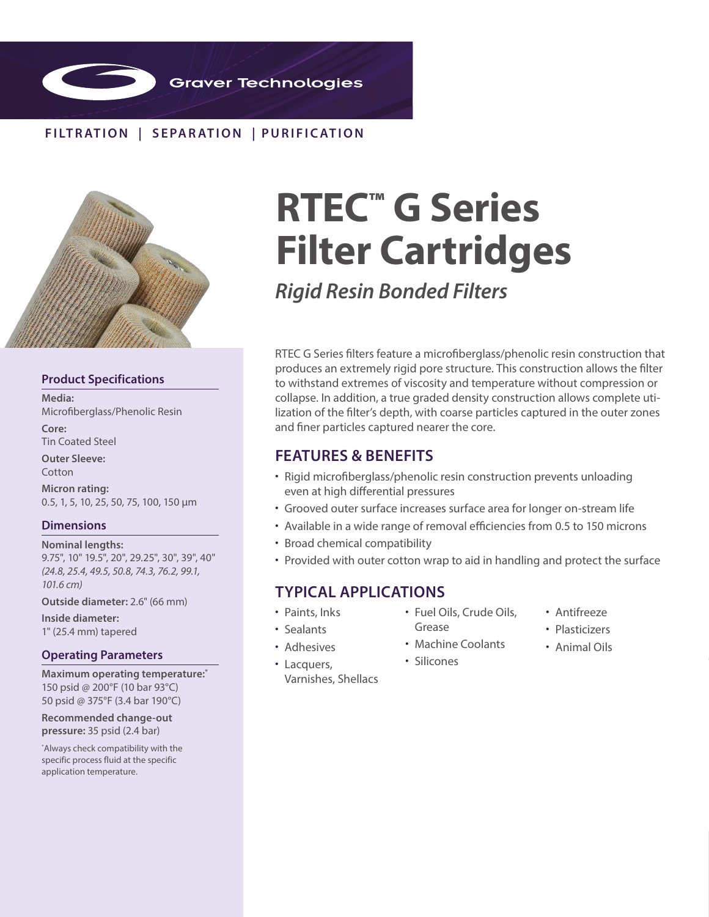

# **FILTR ATION | SEPAR ATION | PURIFIC ATION**



### **Product Specifications**

**Media:**  Microfiberglass/Phenolic Resin

**Core:** Tin Coated Steel

**Outer Sleeve: Cotton** 

**Micron rating:**  0.5, 1, 5, 10, 25, 50, 75, 100, 150 µm

## **Dimensions**

**Nominal lengths:** 9.75", 10" 19.5", 20", 29.25", 30", 39", 40" *(24.8, 25.4, 49.5, 50.8, 74.3, 76.2, 99.1, 101.6 cm)*

**Outside diameter:** 2.6" (66 mm)

**Inside diameter:**  1" (25.4 mm) tapered

## **Operating Parameters**

**Maximum operating temperature:\*** 150 psid @ 200°F (10 bar 93°C) 50 psid @ 375°F (3.4 bar 190°C)

**Recommended change-out pressure:** 35 psid (2.4 bar)

\* Always check compatibility with the specific process fluid at the specific application temperature.

# **RTEC™ G Series Filter Cartridges**

*Rigid Resin Bonded Filters*

RTEC G Series filters feature a microfiberglass/phenolic resin construction that produces an extremely rigid pore structure. This construction allows the filter to withstand extremes of viscosity and temperature without compression or collapse. In addition, a true graded density construction allows complete utilization of the filter's depth, with coarse particles captured in the outer zones and finer particles captured nearer the core.

# **FEATURES & BENEFITS**

- Rigid microfiberglass/phenolic resin construction prevents unloading even at high differential pressures
- Grooved outer surface increases surface area for longer on-stream life
- Available in a wide range of removal efficiencies from 0.5 to 150 microns
- Broad chemical compatibility
- Provided with outer cotton wrap to aid in handling and protect the surface

# **TYPICAL APPLICATIONS**

- Paints, Inks
- Sealants

• Lacquers,

- Fuel Oils, Crude Oils, Grease
- Adhesives
- Machine Coolants
- 
- Varnishes, Shellacs
- Antifreeze
- Plasticizers
- Animal Oils
- Silicones